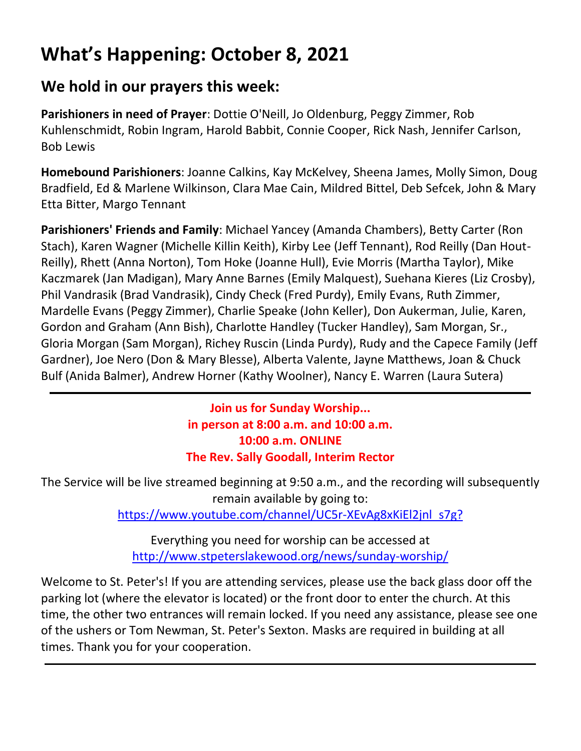### **What's Happening: October 8, 2021**

#### **We hold in our prayers this week:**

**Parishioners in need of Prayer**: Dottie O'Neill, Jo Oldenburg, Peggy Zimmer, Rob Kuhlenschmidt, Robin Ingram, Harold Babbit, Connie Cooper, Rick Nash, Jennifer Carlson, Bob Lewis

**Homebound Parishioners**: Joanne Calkins, Kay McKelvey, Sheena James, Molly Simon, Doug Bradfield, Ed & Marlene Wilkinson, Clara Mae Cain, Mildred Bittel, Deb Sefcek, John & Mary Etta Bitter, Margo Tennant

**Parishioners' Friends and Family**: Michael Yancey (Amanda Chambers), Betty Carter (Ron Stach), Karen Wagner (Michelle Killin Keith), Kirby Lee (Jeff Tennant), Rod Reilly (Dan Hout-Reilly), Rhett (Anna Norton), Tom Hoke (Joanne Hull), Evie Morris (Martha Taylor), Mike Kaczmarek (Jan Madigan), Mary Anne Barnes (Emily Malquest), Suehana Kieres (Liz Crosby), Phil Vandrasik (Brad Vandrasik), Cindy Check (Fred Purdy), Emily Evans, Ruth Zimmer, Mardelle Evans (Peggy Zimmer), Charlie Speake (John Keller), Don Aukerman, Julie, Karen, Gordon and Graham (Ann Bish), Charlotte Handley (Tucker Handley), Sam Morgan, Sr., Gloria Morgan (Sam Morgan), Richey Ruscin (Linda Purdy), Rudy and the Capece Family (Jeff Gardner), Joe Nero (Don & Mary Blesse), Alberta Valente, Jayne Matthews, Joan & Chuck Bulf (Anida Balmer), Andrew Horner (Kathy Woolner), Nancy E. Warren (Laura Sutera)

> **Join us for Sunday Worship... in person at 8:00 a.m. and 10:00 a.m. 10:00 a.m. ONLINE The Rev. Sally Goodall, Interim Rector**

The Service will be live streamed beginning at 9:50 a.m., and the recording will subsequently remain available by going to:

[https://www.youtube.com/channel/UC5r-XEvAg8xKiEl2jnl\\_s7g?](https://www.youtube.com/channel/UC5r-XEvAg8xKiEl2jnl_s7g?)

Everything you need for worship can be accessed at <http://www.stpeterslakewood.org/news/sunday-worship/>

Welcome to St. Peter's! If you are attending services, please use the back glass door off the parking lot (where the elevator is located) or the front door to enter the church. At this time, the other two entrances will remain locked. If you need any assistance, please see one of the ushers or Tom Newman, St. Peter's Sexton. Masks are required in building at all times. Thank you for your cooperation.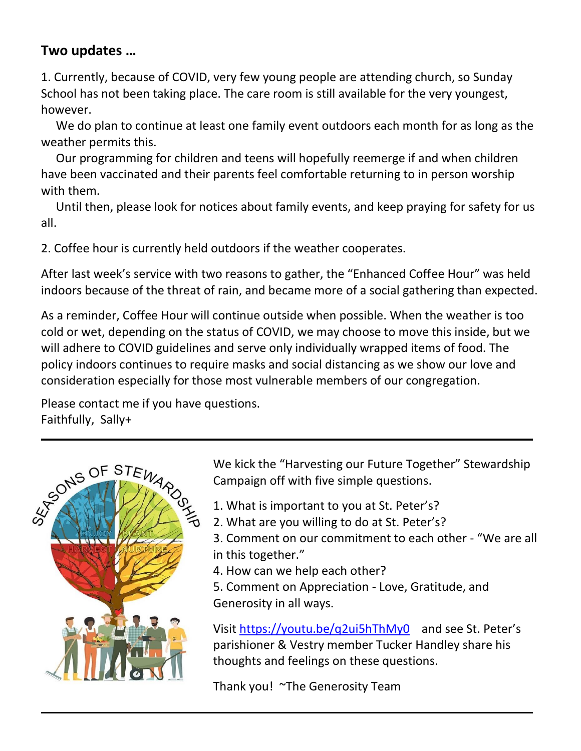#### **Two updates …**

1. Currently, because of COVID, very few young people are attending church, so Sunday School has not been taking place. The care room is still available for the very youngest, however.

 We do plan to continue at least one family event outdoors each month for as long as the weather permits this.

 Our programming for children and teens will hopefully reemerge if and when children have been vaccinated and their parents feel comfortable returning to in person worship with them.

 Until then, please look for notices about family events, and keep praying for safety for us all.

2. Coffee hour is currently held outdoors if the weather cooperates.

After last week's service with two reasons to gather, the "Enhanced Coffee Hour" was held indoors because of the threat of rain, and became more of a social gathering than expected.

As a reminder, Coffee Hour will continue outside when possible. When the weather is too cold or wet, depending on the status of COVID, we may choose to move this inside, but we will adhere to COVID guidelines and serve only individually wrapped items of food. The policy indoors continues to require masks and social distancing as we show our love and consideration especially for those most vulnerable members of our congregation.

Please contact me if you have questions. Faithfully, Sally+



We kick the "Harvesting our Future Together" Stewardship Campaign off with five simple questions.

- 1. What is important to you at St. Peter's?
- 2. What are you willing to do at St. Peter's?
	- 3. Comment on our commitment to each other "We are all in this together."
	- 4. How can we help each other?
	- 5. Comment on Appreciation Love, Gratitude, and Generosity in all ways.

Visit<https://youtu.be/q2ui5hThMy0>and see St. Peter's parishioner & Vestry member Tucker Handley share his thoughts and feelings on these questions.

Thank you! ~The Generosity Team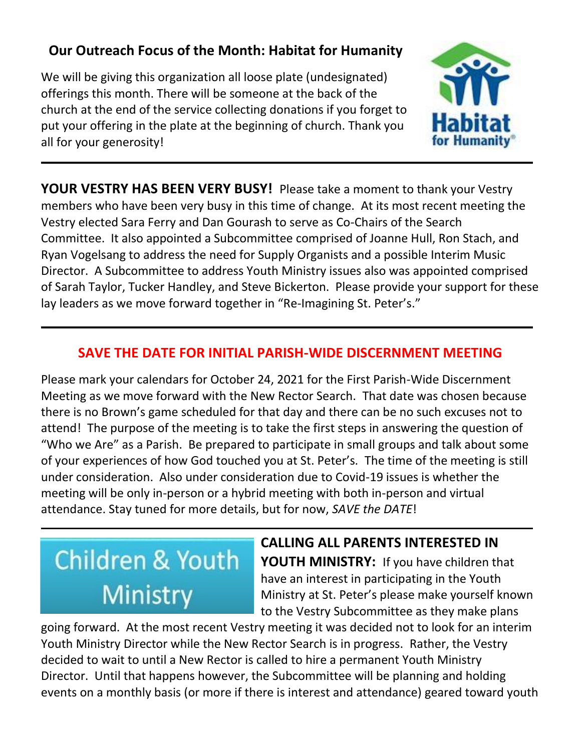#### **Our Outreach Focus of the Month: Habitat for Humanity**

We will be giving this organization all loose plate (undesignated) offerings this month. There will be someone at the back of the church at the end of the service collecting donations if you forget to put your offering in the plate at the beginning of church. Thank you all for your generosity!



**YOUR VESTRY HAS BEEN VERY BUSY!** Please take a moment to thank your Vestry members who have been very busy in this time of change. At its most recent meeting the Vestry elected Sara Ferry and Dan Gourash to serve as Co-Chairs of the Search Committee. It also appointed a Subcommittee comprised of Joanne Hull, Ron Stach, and Ryan Vogelsang to address the need for Supply Organists and a possible Interim Music Director. A Subcommittee to address Youth Ministry issues also was appointed comprised of Sarah Taylor, Tucker Handley, and Steve Bickerton. Please provide your support for these lay leaders as we move forward together in "Re-Imagining St. Peter's."

#### **SAVE THE DATE FOR INITIAL PARISH-WIDE DISCERNMENT MEETING**

Please mark your calendars for October 24, 2021 for the First Parish-Wide Discernment Meeting as we move forward with the New Rector Search. That date was chosen because there is no Brown's game scheduled for that day and there can be no such excuses not to attend! The purpose of the meeting is to take the first steps in answering the question of "Who we Are" as a Parish. Be prepared to participate in small groups and talk about some of your experiences of how God touched you at St. Peter's. The time of the meeting is still under consideration. Also under consideration due to Covid-19 issues is whether the meeting will be only in-person or a hybrid meeting with both in-person and virtual attendance. Stay tuned for more details, but for now, *SAVE the DATE*!

### **Children & Youth** Ministry

**CALLING ALL PARENTS INTERESTED IN YOUTH MINISTRY:** If you have children that have an interest in participating in the Youth Ministry at St. Peter's please make yourself known to the Vestry Subcommittee as they make plans

going forward. At the most recent Vestry meeting it was decided not to look for an interim Youth Ministry Director while the New Rector Search is in progress. Rather, the Vestry decided to wait to until a New Rector is called to hire a permanent Youth Ministry Director. Until that happens however, the Subcommittee will be planning and holding events on a monthly basis (or more if there is interest and attendance) geared toward youth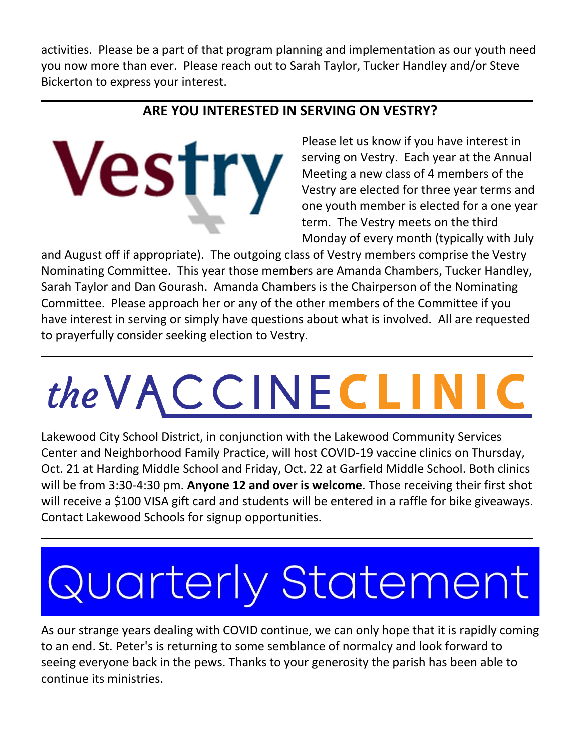activities. Please be a part of that program planning and implementation as our youth need you now more than ever. Please reach out to Sarah Taylor, Tucker Handley and/or Steve Bickerton to express your interest.

#### **ARE YOU INTERESTED IN SERVING ON VESTRY?**

**Vestry** 

Please let us know if you have interest in serving on Vestry. Each year at the Annual Meeting a new class of 4 members of the Vestry are elected for three year terms and one youth member is elected for a one year term. The Vestry meets on the third Monday of every month (typically with July

and August off if appropriate). The outgoing class of Vestry members comprise the Vestry Nominating Committee. This year those members are Amanda Chambers, Tucker Handley, Sarah Taylor and Dan Gourash. Amanda Chambers is the Chairperson of the Nominating Committee. Please approach her or any of the other members of the Committee if you have interest in serving or simply have questions about what is involved. All are requested to prayerfully consider seeking election to Vestry.

# the VACCINECLINI

Lakewood City School District, in conjunction with the Lakewood Community Services Center and Neighborhood Family Practice, will host COVID-19 vaccine clinics on Thursday, Oct. 21 at Harding Middle School and Friday, Oct. 22 at Garfield Middle School. Both clinics will be from 3:30-4:30 pm. **Anyone 12 and over is welcome**. Those receiving their first shot will receive a \$100 VISA gift card and students will be entered in a raffle for bike giveaways. Contact Lakewood Schools for signup opportunities.

## Quarterly Statement

As our strange years dealing with COVID continue, we can only hope that it is rapidly coming to an end. St. Peter's is returning to some semblance of normalcy and look forward to seeing everyone back in the pews. Thanks to your generosity the parish has been able to continue its ministries.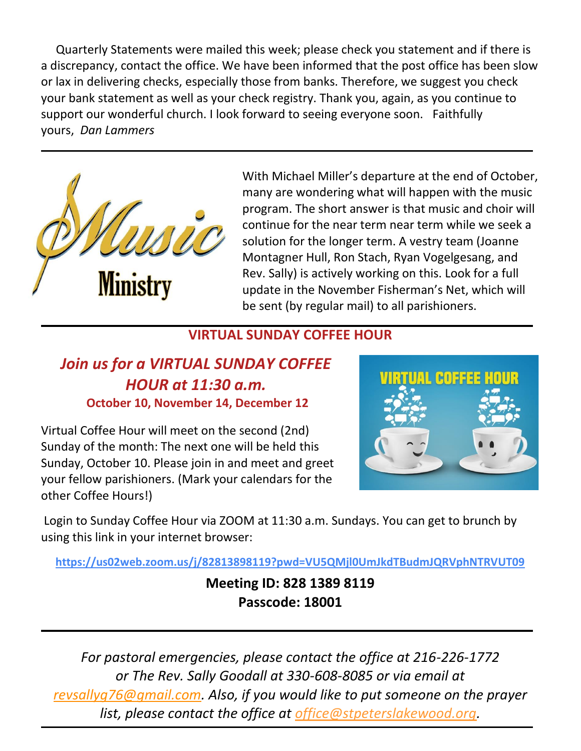Quarterly Statements were mailed this week; please check you statement and if there is a discrepancy, contact the office. We have been informed that the post office has been slow or lax in delivering checks, especially those from banks. Therefore, we suggest you check your bank statement as well as your check registry. Thank you, again, as you continue to support our wonderful church. I look forward to seeing everyone soon. Faithfully yours, *Dan Lammers*



With Michael Miller's departure at the end of October, many are wondering what will happen with the music program. The short answer is that music and choir will continue for the near term near term while we seek a solution for the longer term. A vestry team (Joanne Montagner Hull, Ron Stach, Ryan Vogelgesang, and Rev. Sally) is actively working on this. Look for a full update in the November Fisherman's Net, which will be sent (by regular mail) to all parishioners.

#### **VIRTUAL SUNDAY COFFEE HOUR**

#### *Join us for a VIRTUAL SUNDAY COFFEE HOUR at 11:30 a.m.* **October 10, November 14, December 12**

Virtual Coffee Hour will meet on the second (2nd) Sunday of the month: The next one will be held this Sunday, October 10. Please join in and meet and greet your fellow parishioners. (Mark your calendars for the other Coffee Hours!)



Login to Sunday Coffee Hour via ZOOM at 11:30 a.m. Sundays. You can get to brunch by using this link in your internet browser:

**<https://us02web.zoom.us/j/82813898119?pwd=VU5QMjl0UmJkdTBudmJQRVphNTRVUT09>**

**Meeting ID: 828 1389 8119 Passcode: 18001**

*For pastoral emergencies, please contact the office at 216-226-1772 or The Rev. Sally Goodall at 330-608-8085 or via email at [revsallyg76@gmail.com.](mailto:revsallyg76@gmail.com) Also, if you would like to put someone on the prayer list, please contact the office at [office@stpeterslakewood.org.](mailto:office@stpeterslakewood.org)*